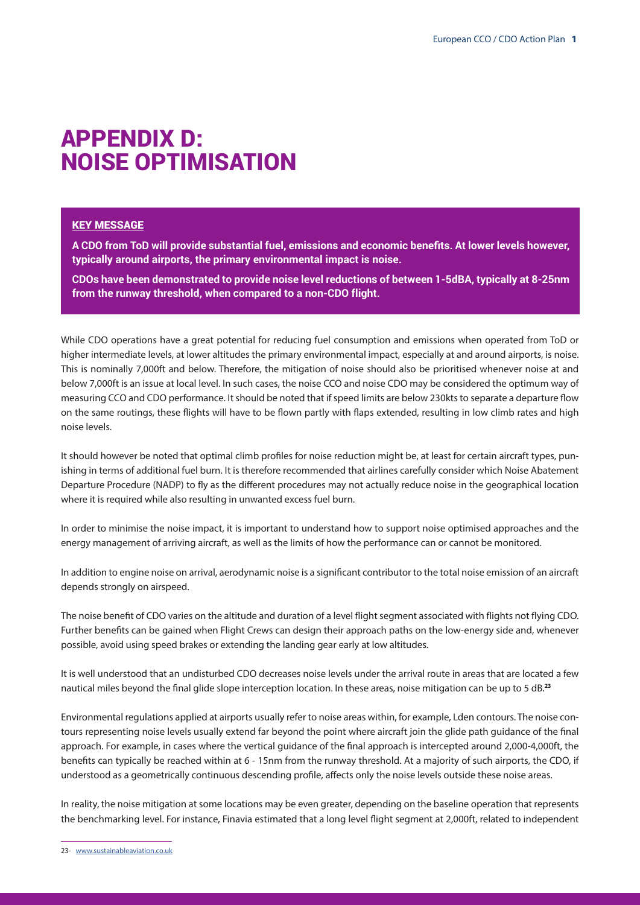## APPENDIX D: NOISE OPTIMISATION

## KEY MESSAGE

**A CDO from ToD will provide substantial fuel, emissions and economic benefits. At lower levels however, typically around airports, the primary environmental impact is noise.**

**CDOs have been demonstrated to provide noise level reductions of between 1-5dBA, typically at 8-25nm from the runway threshold, when compared to a non-CDO flight.**

While CDO operations have a great potential for reducing fuel consumption and emissions when operated from ToD or higher intermediate levels, at lower altitudes the primary environmental impact, especially at and around airports, is noise. This is nominally 7,000ft and below. Therefore, the mitigation of noise should also be prioritised whenever noise at and below 7,000ft is an issue at local level. In such cases, the noise CCO and noise CDO may be considered the optimum way of measuring CCO and CDO performance. It should be noted that if speed limits are below 230kts to separate a departure flow on the same routings, these flights will have to be flown partly with flaps extended, resulting in low climb rates and high noise levels.

It should however be noted that optimal climb profiles for noise reduction might be, at least for certain aircraft types, punishing in terms of additional fuel burn. It is therefore recommended that airlines carefully consider which Noise Abatement Departure Procedure (NADP) to fly as the different procedures may not actually reduce noise in the geographical location where it is required while also resulting in unwanted excess fuel burn.

In order to minimise the noise impact, it is important to understand how to support noise optimised approaches and the energy management of arriving aircraft, as well as the limits of how the performance can or cannot be monitored.

In addition to engine noise on arrival, aerodynamic noise is a significant contributor to the total noise emission of an aircraft depends strongly on airspeed.

The noise benefit of CDO varies on the altitude and duration of a level flight segment associated with flights not flying CDO. Further benefits can be gained when Flight Crews can design their approach paths on the low-energy side and, whenever possible, avoid using speed brakes or extending the landing gear early at low altitudes.

It is well understood that an undisturbed CDO decreases noise levels under the arrival route in areas that are located a few nautical miles beyond the final glide slope interception location. In these areas, noise mitigation can be up to 5 dB.**<sup>23</sup>**

Environmental regulations applied at airports usually refer to noise areas within, for example, Lden contours. The noise contours representing noise levels usually extend far beyond the point where aircraft join the glide path guidance of the final approach. For example, in cases where the vertical guidance of the final approach is intercepted around 2,000-4,000ft, the benefits can typically be reached within at 6 - 15nm from the runway threshold. At a majority of such airports, the CDO, if understood as a geometrically continuous descending profile, affects only the noise levels outside these noise areas.

In reality, the noise mitigation at some locations may be even greater, depending on the baseline operation that represents the benchmarking level. For instance, Finavia estimated that a long level flight segment at 2,000ft, related to independent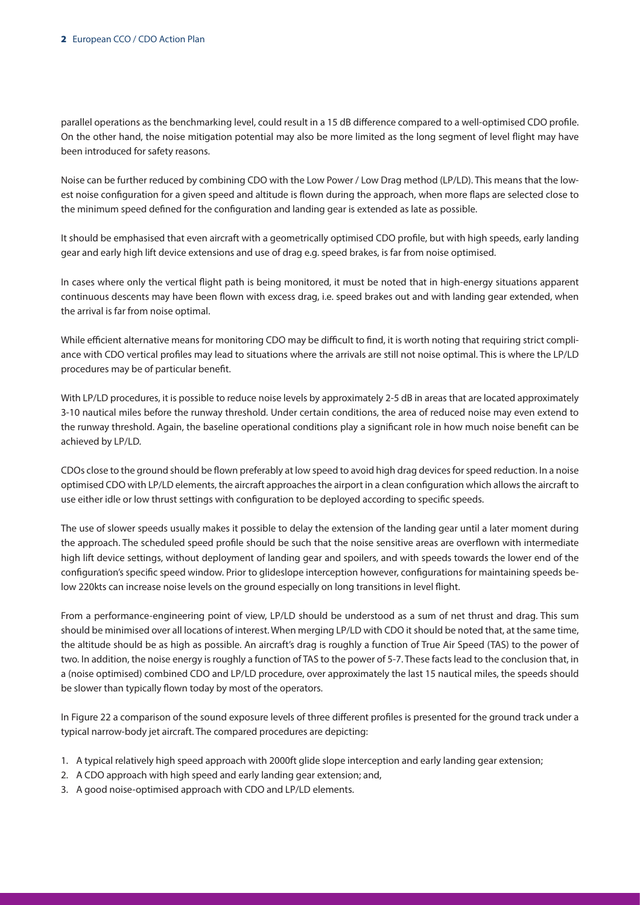parallel operations as the benchmarking level, could result in a 15 dB difference compared to a well-optimised CDO profile. On the other hand, the noise mitigation potential may also be more limited as the long segment of level flight may have been introduced for safety reasons.

Noise can be further reduced by combining CDO with the Low Power / Low Drag method (LP/LD). This means that the lowest noise configuration for a given speed and altitude is flown during the approach, when more flaps are selected close to the minimum speed defined for the configuration and landing gear is extended as late as possible.

It should be emphasised that even aircraft with a geometrically optimised CDO profile, but with high speeds, early landing gear and early high lift device extensions and use of drag e.g. speed brakes, is far from noise optimised.

In cases where only the vertical flight path is being monitored, it must be noted that in high-energy situations apparent continuous descents may have been flown with excess drag, i.e. speed brakes out and with landing gear extended, when the arrival is far from noise optimal.

While efficient alternative means for monitoring CDO may be difficult to find, it is worth noting that requiring strict compliance with CDO vertical profiles may lead to situations where the arrivals are still not noise optimal. This is where the LP/LD procedures may be of particular benefit.

With LP/LD procedures, it is possible to reduce noise levels by approximately 2-5 dB in areas that are located approximately 3-10 nautical miles before the runway threshold. Under certain conditions, the area of reduced noise may even extend to the runway threshold. Again, the baseline operational conditions play a significant role in how much noise benefit can be achieved by LP/LD.

CDOs close to the ground should be flown preferably at low speed to avoid high drag devices for speed reduction. In a noise optimised CDO with LP/LD elements, the aircraft approaches the airport in a clean configuration which allows the aircraft to use either idle or low thrust settings with configuration to be deployed according to specific speeds.

The use of slower speeds usually makes it possible to delay the extension of the landing gear until a later moment during the approach. The scheduled speed profile should be such that the noise sensitive areas are overflown with intermediate high lift device settings, without deployment of landing gear and spoilers, and with speeds towards the lower end of the configuration's specific speed window. Prior to glideslope interception however, configurations for maintaining speeds below 220kts can increase noise levels on the ground especially on long transitions in level flight.

From a performance-engineering point of view, LP/LD should be understood as a sum of net thrust and drag. This sum should be minimised over all locations of interest. When merging LP/LD with CDO it should be noted that, at the same time, the altitude should be as high as possible. An aircraft's drag is roughly a function of True Air Speed (TAS) to the power of two. In addition, the noise energy is roughly a function of TAS to the power of 5-7. These facts lead to the conclusion that, in a (noise optimised) combined CDO and LP/LD procedure, over approximately the last 15 nautical miles, the speeds should be slower than typically flown today by most of the operators.

In Figure 22 a comparison of the sound exposure levels of three different profiles is presented for the ground track under a typical narrow-body jet aircraft. The compared procedures are depicting:

- 1. A typical relatively high speed approach with 2000ft glide slope interception and early landing gear extension;
- 2. A CDO approach with high speed and early landing gear extension; and,
- 3. A good noise-optimised approach with CDO and LP/LD elements.